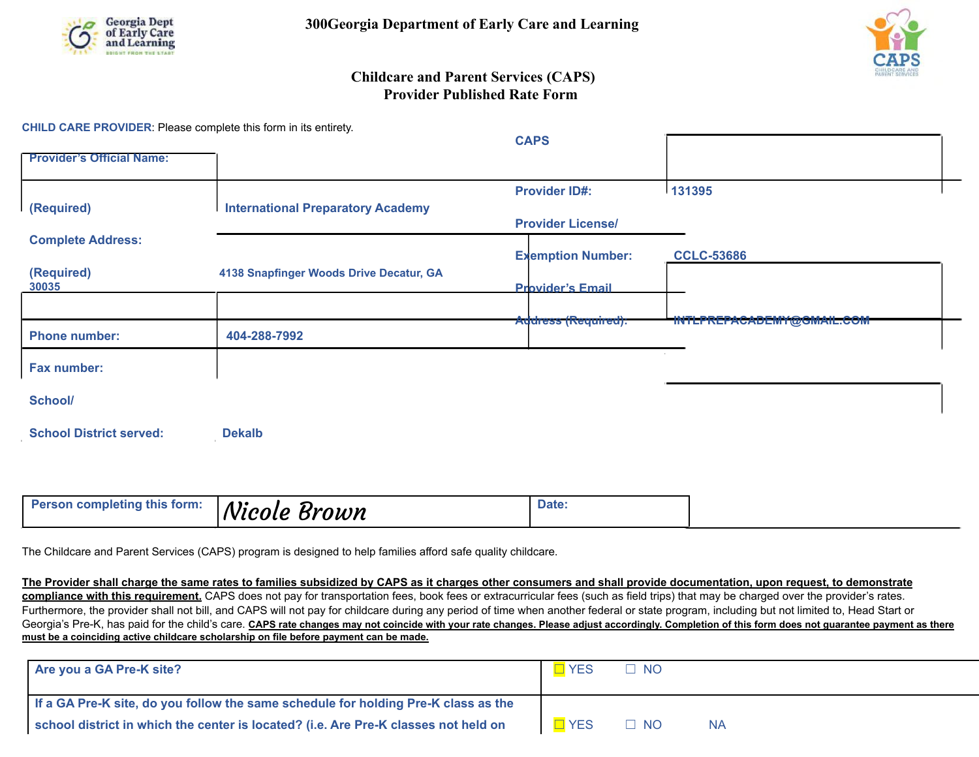



## **Childcare and Parent Services (CAPS) Provider Published Rate Form**

**CHILD CARE PROVIDER**: Please complete this form in its entirety.

|                                  |                                          | <b>CAPS</b>              |                   |
|----------------------------------|------------------------------------------|--------------------------|-------------------|
| <b>Provider's Official Name:</b> |                                          |                          |                   |
|                                  |                                          | <b>Provider ID#:</b>     | 131395            |
| (Required)                       | <b>International Preparatory Academy</b> | <b>Provider License/</b> |                   |
| <b>Complete Address:</b>         |                                          |                          |                   |
|                                  |                                          | <b>Exemption Number:</b> | <b>CCLC-53686</b> |
| (Required)<br>30035              | 4138 Snapfinger Woods Drive Decatur, GA  | <b>Provider's Email</b>  |                   |
|                                  |                                          |                          |                   |
| <b>Phone number:</b>             | 404-288-7992                             | Address (Required):      |                   |
| Fax number:                      |                                          |                          |                   |
| School/                          |                                          |                          |                   |
| <b>School District served:</b>   | <b>Dekalb</b>                            |                          |                   |
|                                  |                                          |                          |                   |

| <b>Person completing this form:</b> | ' Nicole<br>Brown | Date. |
|-------------------------------------|-------------------|-------|
|                                     |                   |       |

The Childcare and Parent Services (CAPS) program is designed to help families afford safe quality childcare.

**The Provider shall charge the same rates to families subsidized by CAPS as it charges other consumers and shall provide documentation, upon request, to demonstrate compliance with this requirement.** CAPS does not pay for transportation fees, book fees or extracurricular fees (such as field trips) that may be charged over the provider's rates. Furthermore, the provider shall not bill, and CAPS will not pay for childcare during any period of time when another federal or state program, including but not limited to, Head Start or Georgia's Pre-K, has paid for the child's care. CAPS rate changes may not coincide with your rate changes. Please adjust accordingly. Completion of this form does not guarantee payment as there **must be a coinciding active childcare scholarship on file before payment can be made.**

| Are you a GA Pre-K site?                                                            | $\Box$ YES | $\Box$ NO |    |  |  |
|-------------------------------------------------------------------------------------|------------|-----------|----|--|--|
| If a GA Pre-K site, do you follow the same schedule for holding Pre-K class as the  |            |           |    |  |  |
| school district in which the center is located? (i.e. Are Pre-K classes not held on | $\Box$ YES | $\Box$ NO | ΝA |  |  |